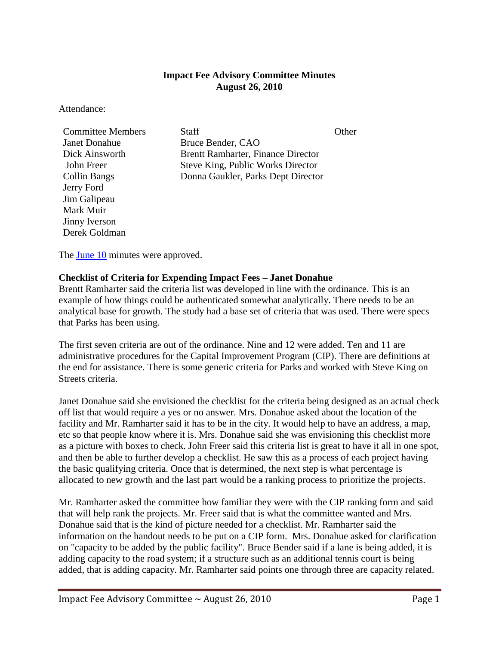## **Impact Fee Advisory Committee Minutes August 26, 2010**

Attendance:

| <b>Committee Members</b> | <b>Staff</b>                              | ()ther |
|--------------------------|-------------------------------------------|--------|
| <b>Janet Donahue</b>     | Bruce Bender, CAO                         |        |
| Dick Ainsworth           | <b>Brentt Ramharter, Finance Director</b> |        |
| John Freer               | Steve King, Public Works Director         |        |
| <b>Collin Bangs</b>      | Donna Gaukler, Parks Dept Director        |        |
| Jerry Ford               |                                           |        |
| Jim Galipeau             |                                           |        |
| Mark Muir                |                                           |        |
| Jinny Iverson            |                                           |        |
| Derek Goldman            |                                           |        |

The **June 10** minutes were approved.

## **Checklist of Criteria for Expending Impact Fees – Janet Donahue**

Brentt Ramharter said the criteria list was developed in line with the ordinance. This is an example of how things could be authenticated somewhat analytically. There needs to be an analytical base for growth. The study had a base set of criteria that was used. There were specs that Parks has been using.

The first seven criteria are out of the ordinance. Nine and 12 were added. Ten and 11 are administrative procedures for the Capital Improvement Program (CIP). There are definitions at the end for assistance. There is some generic criteria for Parks and worked with Steve King on Streets criteria.

Janet Donahue said she envisioned the checklist for the criteria being designed as an actual check off list that would require a yes or no answer. Mrs. Donahue asked about the location of the facility and Mr. Ramharter said it has to be in the city. It would help to have an address, a map, etc so that people know where it is. Mrs. Donahue said she was envisioning this checklist more as a picture with boxes to check. John Freer said this criteria list is great to have it all in one spot, and then be able to further develop a checklist. He saw this as a process of each project having the basic qualifying criteria. Once that is determined, the next step is what percentage is allocated to new growth and the last part would be a ranking process to prioritize the projects.

Mr. Ramharter asked the committee how familiar they were with the CIP ranking form and said that will help rank the projects. Mr. Freer said that is what the committee wanted and Mrs. Donahue said that is the kind of picture needed for a checklist. Mr. Ramharter said the information on the handout needs to be put on a CIP form. Mrs. Donahue asked for clarification on "capacity to be added by the public facility". Bruce Bender said if a lane is being added, it is adding capacity to the road system; if a structure such as an additional tennis court is being added, that is adding capacity. Mr. Ramharter said points one through three are capacity related.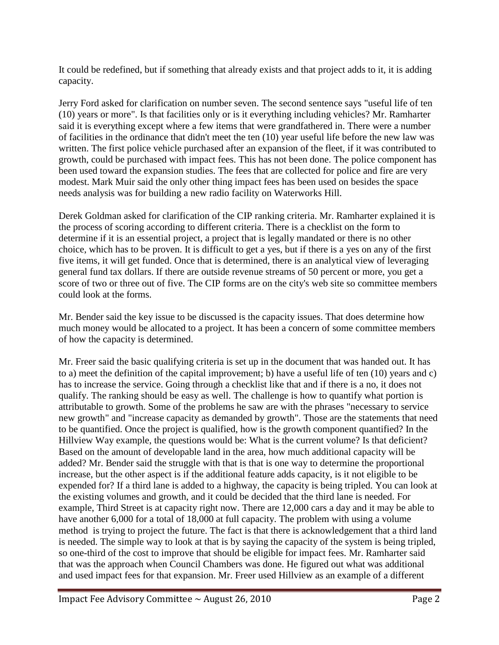It could be redefined, but if something that already exists and that project adds to it, it is adding capacity.

Jerry Ford asked for clarification on number seven. The second sentence says "useful life of ten (10) years or more". Is that facilities only or is it everything including vehicles? Mr. Ramharter said it is everything except where a few items that were grandfathered in. There were a number of facilities in the ordinance that didn't meet the ten (10) year useful life before the new law was written. The first police vehicle purchased after an expansion of the fleet, if it was contributed to growth, could be purchased with impact fees. This has not been done. The police component has been used toward the expansion studies. The fees that are collected for police and fire are very modest. Mark Muir said the only other thing impact fees has been used on besides the space needs analysis was for building a new radio facility on Waterworks Hill.

Derek Goldman asked for clarification of the CIP ranking criteria. Mr. Ramharter explained it is the process of scoring according to different criteria. There is a checklist on the form to determine if it is an essential project, a project that is legally mandated or there is no other choice, which has to be proven. It is difficult to get a yes, but if there is a yes on any of the first five items, it will get funded. Once that is determined, there is an analytical view of leveraging general fund tax dollars. If there are outside revenue streams of 50 percent or more, you get a score of two or three out of five. The CIP forms are on the city's web site so committee members could look at the forms.

Mr. Bender said the key issue to be discussed is the capacity issues. That does determine how much money would be allocated to a project. It has been a concern of some committee members of how the capacity is determined.

Mr. Freer said the basic qualifying criteria is set up in the document that was handed out. It has to a) meet the definition of the capital improvement; b) have a useful life of ten (10) years and c) has to increase the service. Going through a checklist like that and if there is a no, it does not qualify. The ranking should be easy as well. The challenge is how to quantify what portion is attributable to growth. Some of the problems he saw are with the phrases "necessary to service new growth" and "increase capacity as demanded by growth". Those are the statements that need to be quantified. Once the project is qualified, how is the growth component quantified? In the Hillview Way example, the questions would be: What is the current volume? Is that deficient? Based on the amount of developable land in the area, how much additional capacity will be added? Mr. Bender said the struggle with that is that is one way to determine the proportional increase, but the other aspect is if the additional feature adds capacity, is it not eligible to be expended for? If a third lane is added to a highway, the capacity is being tripled. You can look at the existing volumes and growth, and it could be decided that the third lane is needed. For example, Third Street is at capacity right now. There are 12,000 cars a day and it may be able to have another 6,000 for a total of 18,000 at full capacity. The problem with using a volume method is trying to project the future. The fact is that there is acknowledgement that a third land is needed. The simple way to look at that is by saying the capacity of the system is being tripled, so one-third of the cost to improve that should be eligible for impact fees. Mr. Ramharter said that was the approach when Council Chambers was done. He figured out what was additional and used impact fees for that expansion. Mr. Freer used Hillview as an example of a different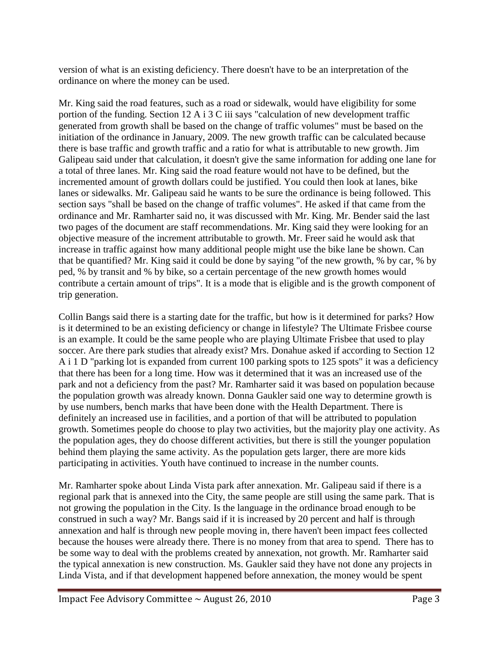version of what is an existing deficiency. There doesn't have to be an interpretation of the ordinance on where the money can be used.

Mr. King said the road features, such as a road or sidewalk, would have eligibility for some portion of the funding. Section 12 A i 3 C iii says "calculation of new development traffic generated from growth shall be based on the change of traffic volumes" must be based on the initiation of the ordinance in January, 2009. The new growth traffic can be calculated because there is base traffic and growth traffic and a ratio for what is attributable to new growth. Jim Galipeau said under that calculation, it doesn't give the same information for adding one lane for a total of three lanes. Mr. King said the road feature would not have to be defined, but the incremented amount of growth dollars could be justified. You could then look at lanes, bike lanes or sidewalks. Mr. Galipeau said he wants to be sure the ordinance is being followed. This section says "shall be based on the change of traffic volumes". He asked if that came from the ordinance and Mr. Ramharter said no, it was discussed with Mr. King. Mr. Bender said the last two pages of the document are staff recommendations. Mr. King said they were looking for an objective measure of the increment attributable to growth. Mr. Freer said he would ask that increase in traffic against how many additional people might use the bike lane be shown. Can that be quantified? Mr. King said it could be done by saying "of the new growth, % by car, % by ped, % by transit and % by bike, so a certain percentage of the new growth homes would contribute a certain amount of trips". It is a mode that is eligible and is the growth component of trip generation.

Collin Bangs said there is a starting date for the traffic, but how is it determined for parks? How is it determined to be an existing deficiency or change in lifestyle? The Ultimate Frisbee course is an example. It could be the same people who are playing Ultimate Frisbee that used to play soccer. Are there park studies that already exist? Mrs. Donahue asked if according to Section 12 A i 1 D "parking lot is expanded from current 100 parking spots to 125 spots" it was a deficiency that there has been for a long time. How was it determined that it was an increased use of the park and not a deficiency from the past? Mr. Ramharter said it was based on population because the population growth was already known. Donna Gaukler said one way to determine growth is by use numbers, bench marks that have been done with the Health Department. There is definitely an increased use in facilities, and a portion of that will be attributed to population growth. Sometimes people do choose to play two activities, but the majority play one activity. As the population ages, they do choose different activities, but there is still the younger population behind them playing the same activity. As the population gets larger, there are more kids participating in activities. Youth have continued to increase in the number counts.

Mr. Ramharter spoke about Linda Vista park after annexation. Mr. Galipeau said if there is a regional park that is annexed into the City, the same people are still using the same park. That is not growing the population in the City. Is the language in the ordinance broad enough to be construed in such a way? Mr. Bangs said if it is increased by 20 percent and half is through annexation and half is through new people moving in, there haven't been impact fees collected because the houses were already there. There is no money from that area to spend. There has to be some way to deal with the problems created by annexation, not growth. Mr. Ramharter said the typical annexation is new construction. Ms. Gaukler said they have not done any projects in Linda Vista, and if that development happened before annexation, the money would be spent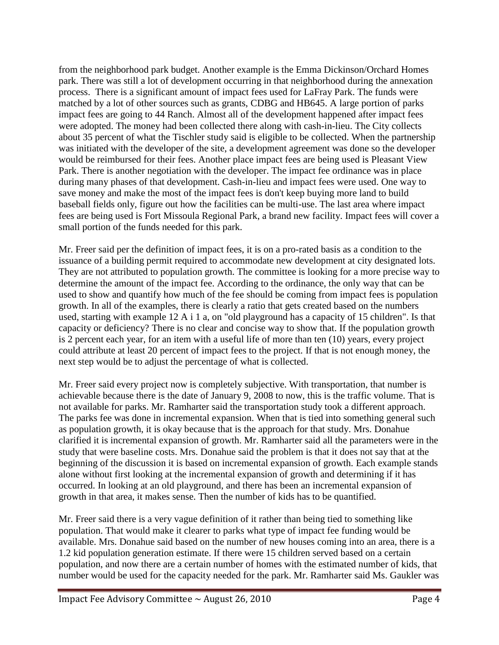from the neighborhood park budget. Another example is the Emma Dickinson/Orchard Homes park. There was still a lot of development occurring in that neighborhood during the annexation process. There is a significant amount of impact fees used for LaFray Park. The funds were matched by a lot of other sources such as grants, CDBG and HB645. A large portion of parks impact fees are going to 44 Ranch. Almost all of the development happened after impact fees were adopted. The money had been collected there along with cash-in-lieu. The City collects about 35 percent of what the Tischler study said is eligible to be collected. When the partnership was initiated with the developer of the site, a development agreement was done so the developer would be reimbursed for their fees. Another place impact fees are being used is Pleasant View Park. There is another negotiation with the developer. The impact fee ordinance was in place during many phases of that development. Cash-in-lieu and impact fees were used. One way to save money and make the most of the impact fees is don't keep buying more land to build baseball fields only, figure out how the facilities can be multi-use. The last area where impact fees are being used is Fort Missoula Regional Park, a brand new facility. Impact fees will cover a small portion of the funds needed for this park.

Mr. Freer said per the definition of impact fees, it is on a pro-rated basis as a condition to the issuance of a building permit required to accommodate new development at city designated lots. They are not attributed to population growth. The committee is looking for a more precise way to determine the amount of the impact fee. According to the ordinance, the only way that can be used to show and quantify how much of the fee should be coming from impact fees is population growth. In all of the examples, there is clearly a ratio that gets created based on the numbers used, starting with example 12 A i 1 a, on "old playground has a capacity of 15 children". Is that capacity or deficiency? There is no clear and concise way to show that. If the population growth is 2 percent each year, for an item with a useful life of more than ten (10) years, every project could attribute at least 20 percent of impact fees to the project. If that is not enough money, the next step would be to adjust the percentage of what is collected.

Mr. Freer said every project now is completely subjective. With transportation, that number is achievable because there is the date of January 9, 2008 to now, this is the traffic volume. That is not available for parks. Mr. Ramharter said the transportation study took a different approach. The parks fee was done in incremental expansion. When that is tied into something general such as population growth, it is okay because that is the approach for that study. Mrs. Donahue clarified it is incremental expansion of growth. Mr. Ramharter said all the parameters were in the study that were baseline costs. Mrs. Donahue said the problem is that it does not say that at the beginning of the discussion it is based on incremental expansion of growth. Each example stands alone without first looking at the incremental expansion of growth and determining if it has occurred. In looking at an old playground, and there has been an incremental expansion of growth in that area, it makes sense. Then the number of kids has to be quantified.

Mr. Freer said there is a very vague definition of it rather than being tied to something like population. That would make it clearer to parks what type of impact fee funding would be available. Mrs. Donahue said based on the number of new houses coming into an area, there is a 1.2 kid population generation estimate. If there were 15 children served based on a certain population, and now there are a certain number of homes with the estimated number of kids, that number would be used for the capacity needed for the park. Mr. Ramharter said Ms. Gaukler was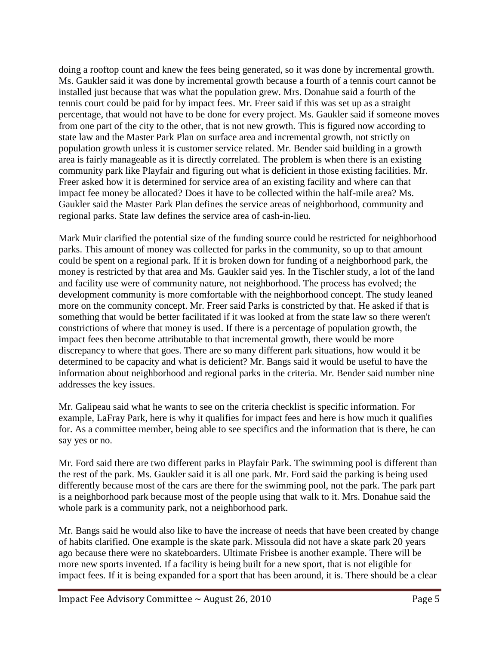doing a rooftop count and knew the fees being generated, so it was done by incremental growth. Ms. Gaukler said it was done by incremental growth because a fourth of a tennis court cannot be installed just because that was what the population grew. Mrs. Donahue said a fourth of the tennis court could be paid for by impact fees. Mr. Freer said if this was set up as a straight percentage, that would not have to be done for every project. Ms. Gaukler said if someone moves from one part of the city to the other, that is not new growth. This is figured now according to state law and the Master Park Plan on surface area and incremental growth, not strictly on population growth unless it is customer service related. Mr. Bender said building in a growth area is fairly manageable as it is directly correlated. The problem is when there is an existing community park like Playfair and figuring out what is deficient in those existing facilities. Mr. Freer asked how it is determined for service area of an existing facility and where can that impact fee money be allocated? Does it have to be collected within the half-mile area? Ms. Gaukler said the Master Park Plan defines the service areas of neighborhood, community and regional parks. State law defines the service area of cash-in-lieu.

Mark Muir clarified the potential size of the funding source could be restricted for neighborhood parks. This amount of money was collected for parks in the community, so up to that amount could be spent on a regional park. If it is broken down for funding of a neighborhood park, the money is restricted by that area and Ms. Gaukler said yes. In the Tischler study, a lot of the land and facility use were of community nature, not neighborhood. The process has evolved; the development community is more comfortable with the neighborhood concept. The study leaned more on the community concept. Mr. Freer said Parks is constricted by that. He asked if that is something that would be better facilitated if it was looked at from the state law so there weren't constrictions of where that money is used. If there is a percentage of population growth, the impact fees then become attributable to that incremental growth, there would be more discrepancy to where that goes. There are so many different park situations, how would it be determined to be capacity and what is deficient? Mr. Bangs said it would be useful to have the information about neighborhood and regional parks in the criteria. Mr. Bender said number nine addresses the key issues.

Mr. Galipeau said what he wants to see on the criteria checklist is specific information. For example, LaFray Park, here is why it qualifies for impact fees and here is how much it qualifies for. As a committee member, being able to see specifics and the information that is there, he can say yes or no.

Mr. Ford said there are two different parks in Playfair Park. The swimming pool is different than the rest of the park. Ms. Gaukler said it is all one park. Mr. Ford said the parking is being used differently because most of the cars are there for the swimming pool, not the park. The park part is a neighborhood park because most of the people using that walk to it. Mrs. Donahue said the whole park is a community park, not a neighborhood park.

Mr. Bangs said he would also like to have the increase of needs that have been created by change of habits clarified. One example is the skate park. Missoula did not have a skate park 20 years ago because there were no skateboarders. Ultimate Frisbee is another example. There will be more new sports invented. If a facility is being built for a new sport, that is not eligible for impact fees. If it is being expanded for a sport that has been around, it is. There should be a clear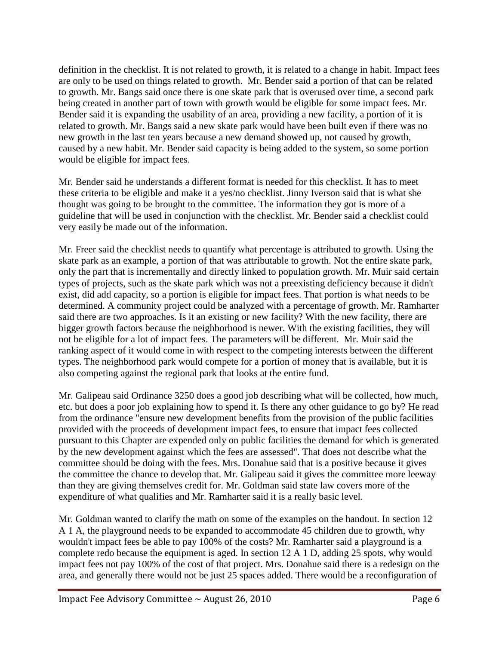definition in the checklist. It is not related to growth, it is related to a change in habit. Impact fees are only to be used on things related to growth. Mr. Bender said a portion of that can be related to growth. Mr. Bangs said once there is one skate park that is overused over time, a second park being created in another part of town with growth would be eligible for some impact fees. Mr. Bender said it is expanding the usability of an area, providing a new facility, a portion of it is related to growth. Mr. Bangs said a new skate park would have been built even if there was no new growth in the last ten years because a new demand showed up, not caused by growth, caused by a new habit. Mr. Bender said capacity is being added to the system, so some portion would be eligible for impact fees.

Mr. Bender said he understands a different format is needed for this checklist. It has to meet these criteria to be eligible and make it a yes/no checklist. Jinny Iverson said that is what she thought was going to be brought to the committee. The information they got is more of a guideline that will be used in conjunction with the checklist. Mr. Bender said a checklist could very easily be made out of the information.

Mr. Freer said the checklist needs to quantify what percentage is attributed to growth. Using the skate park as an example, a portion of that was attributable to growth. Not the entire skate park, only the part that is incrementally and directly linked to population growth. Mr. Muir said certain types of projects, such as the skate park which was not a preexisting deficiency because it didn't exist, did add capacity, so a portion is eligible for impact fees. That portion is what needs to be determined. A community project could be analyzed with a percentage of growth. Mr. Ramharter said there are two approaches. Is it an existing or new facility? With the new facility, there are bigger growth factors because the neighborhood is newer. With the existing facilities, they will not be eligible for a lot of impact fees. The parameters will be different. Mr. Muir said the ranking aspect of it would come in with respect to the competing interests between the different types. The neighborhood park would compete for a portion of money that is available, but it is also competing against the regional park that looks at the entire fund.

Mr. Galipeau said Ordinance 3250 does a good job describing what will be collected, how much, etc. but does a poor job explaining how to spend it. Is there any other guidance to go by? He read from the ordinance "ensure new development benefits from the provision of the public facilities provided with the proceeds of development impact fees, to ensure that impact fees collected pursuant to this Chapter are expended only on public facilities the demand for which is generated by the new development against which the fees are assessed". That does not describe what the committee should be doing with the fees. Mrs. Donahue said that is a positive because it gives the committee the chance to develop that. Mr. Galipeau said it gives the committee more leeway than they are giving themselves credit for. Mr. Goldman said state law covers more of the expenditure of what qualifies and Mr. Ramharter said it is a really basic level.

Mr. Goldman wanted to clarify the math on some of the examples on the handout. In section 12 A 1 A, the playground needs to be expanded to accommodate 45 children due to growth, why wouldn't impact fees be able to pay 100% of the costs? Mr. Ramharter said a playground is a complete redo because the equipment is aged. In section 12 A 1 D, adding 25 spots, why would impact fees not pay 100% of the cost of that project. Mrs. Donahue said there is a redesign on the area, and generally there would not be just 25 spaces added. There would be a reconfiguration of